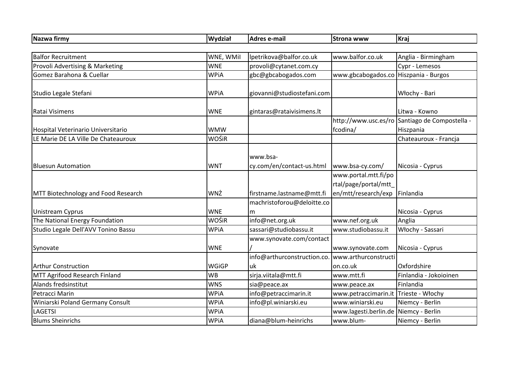| Nazwa firmy                                | Wydział      | <b>Adres e-mail</b>                   | <b>Strona www</b>                                                   | Kraj                                           |
|--------------------------------------------|--------------|---------------------------------------|---------------------------------------------------------------------|------------------------------------------------|
|                                            |              |                                       |                                                                     |                                                |
| <b>Balfor Recruitment</b>                  | WNE, WMil    | Ipetrikova@balfor.co.uk               | www.balfor.co.uk                                                    | Anglia - Birmingham                            |
| Provoli Advertising & Marketing            | <b>WNE</b>   | provoli@cytanet.com.cy                |                                                                     | Cypr - Lemesos                                 |
| Gomez Barahona & Cuellar                   | <b>WPiA</b>  | gbc@gbcabogados.com                   | www.gbcabogados.co Hiszpania - Burgos                               |                                                |
| Studio Legale Stefani                      | <b>WPiA</b>  | giovanni@studiostefani.com            |                                                                     | Włochy - Bari                                  |
| Ratai Visimens                             | <b>WNE</b>   | gintaras@rataivisimens.lt             |                                                                     | Litwa - Kowno                                  |
|                                            |              |                                       |                                                                     | http://www.usc.es/ro Santiago de Compostella - |
| Hospital Veterinario Universitario         | <b>WMW</b>   |                                       | fcodina/                                                            | Hiszpania                                      |
| LE Marie DE LA Ville De Chateauroux        | WOŚiR        |                                       |                                                                     | Chateauroux - Francja                          |
| <b>Bluesun Automation</b>                  | <b>WNT</b>   | www.bsa-<br>cy.com/en/contact-us.html | www.bsa-cy.com/                                                     | Nicosia - Cyprus                               |
| <b>MTT Biotechnology and Food Research</b> | WNŻ          | firstname.lastname@mtt.fi             | www.portal.mtt.fi/po<br>rtal/page/portal/mtt<br>en/mtt/research/exp | Finlandia                                      |
| <b>Unistream Cyprus</b>                    | <b>WNE</b>   | machristoforou@deloitte.co<br>m       |                                                                     | Nicosia - Cyprus                               |
| The National Energy Foundation             | WOŚiR        | info@net.org.uk                       | www.nef.org.uk                                                      | Anglia                                         |
| Studio Legale Dell'AVV Tonino Bassu        | <b>WPiA</b>  | sassari@studiobassu.it                | www.studiobassu.it                                                  | Włochy - Sassari                               |
| Synovate                                   | <b>WNE</b>   | www.synovate.com/contact              | www.synovate.com                                                    | Nicosia - Cyprus                               |
| <b>Arthur Construction</b>                 | <b>WGiGP</b> | info@arthurconstruction.co.<br>uk     | www.arthurconstructi<br>on.co.uk                                    | Oxfordshire                                    |
| MTT Agrifood Research Finland              | <b>WB</b>    | sirja.viitala@mtt.fi                  | www.mtt.fi                                                          | Finlandia - Jokoioinen                         |
| Alands fredsinstitut                       | <b>WNS</b>   | sia@peace.ax                          | www.peace.ax                                                        | Finlandia                                      |
| Petracci Marin                             | <b>WPiA</b>  | info@petraccimarin.it                 | www.petraccimarin.it Trieste - Włochy                               |                                                |
| Winiarski Poland Germany Consult           | <b>WPiA</b>  | info@pl.winiarski.eu                  | www.winiarski.eu                                                    | Niemcy - Berlin                                |
| <b>LAGETSI</b>                             | <b>WPiA</b>  |                                       | www.lagesti.berlin.de                                               | Niemcy - Berlin                                |
| <b>Blums Sheinrichs</b>                    | <b>WPiA</b>  | diana@blum-heinrichs                  | www.blum-                                                           | Niemcy - Berlin                                |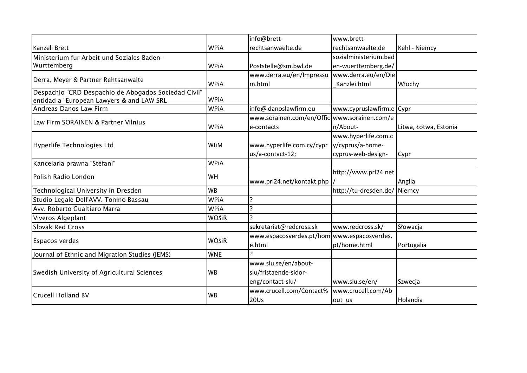|                                                      |              | info@brett-                                 | www.brett-               |                       |
|------------------------------------------------------|--------------|---------------------------------------------|--------------------------|-----------------------|
| Kanzeli Brett                                        | <b>WPiA</b>  | rechtsanwaelte.de                           | rechtsanwaelte.de        | Kehl - Niemcy         |
| Ministerium fur Arbeit und Soziales Baden -          |              |                                             | sozialministerium.bad    |                       |
| Wurttemberg                                          | <b>WPiA</b>  | Poststelle@sm.bwl.de                        | en-wuerttemberg.de/      |                       |
| Derra, Meyer & Partner Rehtsanwalte                  |              | www.derra.eu/en/Impressu                    | www.derra.eu/en/Die      |                       |
|                                                      | <b>WPiA</b>  | m.html                                      | Kanzlei.html             | Włochy                |
| Despachio "CRD Despachio de Abogados Sociedad Civil" |              |                                             |                          |                       |
| entidad a "European Lawyers & and LAW SRL            | <b>WPiA</b>  |                                             |                          |                       |
| Andreas Danos Law Firm                               | <b>WPiA</b>  | info@ danoslawfirm.eu                       | www.cypruslawfirm.e Cypr |                       |
| Law Firm SORAINEN & Partner Vilnius                  |              | www.sorainen.com/en/Offic                   | www.sorainen.com/e       |                       |
|                                                      | <b>WPiA</b>  | le-contacts                                 | n/About-                 | Litwa, Łotwa, Estonia |
| Hyperlife Technologies Ltd                           | WliM         |                                             | www.hyperlife.com.c      |                       |
|                                                      |              | www.hyperlife.com.cy/cypr                   | y/cyprus/a-home-         |                       |
|                                                      |              | us/a-contact-12;                            | cyprus-web-design-       | Cypr                  |
| Kancelaria prawna "Stefani"                          | <b>WPiA</b>  |                                             |                          |                       |
| Polish Radio London                                  | WH           | www.prl24.net/kontakt.php                   | http://www.prl24.net     | Anglia                |
| Technological University in Dresden                  | <b>WB</b>    |                                             | http://tu-dresden.de/    | Niemcy                |
| Studio Legale Dell'AVV. Tonino Bassau                | <b>WPiA</b>  |                                             |                          |                       |
| Avv. Roberto Gualtiero Marra                         | <b>WPiA</b>  | $\mathbf{C}$                                |                          |                       |
| Viveros Algeplant                                    | WOŚiR        | ำ                                           |                          |                       |
| <b>Slovak Red Cross</b>                              |              | sekretariat@redcross.sk                     | www.redcross.sk/         | Słowacja              |
| <b>Espacos verdes</b>                                | <b>WOŚiR</b> | www.espacosverdes.pt/hom www.espacosverdes. |                          |                       |
|                                                      |              | e.html                                      | pt/home.html             | Portugalia            |
| Journal of Ethnic and Migration Studies (JEMS)       | <b>WNE</b>   |                                             |                          |                       |
| Swedish University of Agricultural Sciences          | <b>WB</b>    | www.slu.se/en/about-                        |                          |                       |
|                                                      |              | slu/fristaende-sidor-                       |                          |                       |
|                                                      |              | eng/contact-slu/                            | www.slu.se/en/           | Szwecja               |
| <b>Crucell Holland BV</b>                            | <b>WB</b>    | www.crucell.com/Contact%                    | www.crucell.com/Ab       |                       |
|                                                      |              | <b>20Us</b>                                 | out us                   | Holandia              |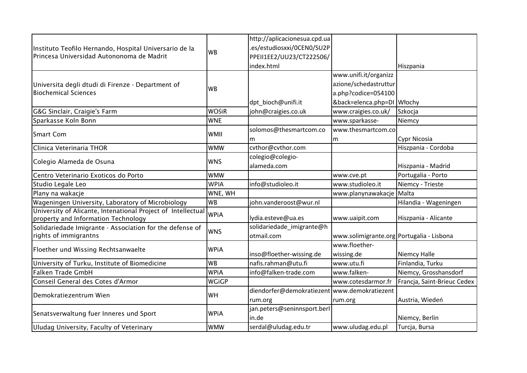|                                                                                                                                                                                         |              | http://aplicacionesua.cpd.ua                 |                                           |                             |
|-----------------------------------------------------------------------------------------------------------------------------------------------------------------------------------------|--------------|----------------------------------------------|-------------------------------------------|-----------------------------|
| Instituto Teofilo Hernando, Hospital Universario de la<br>Princesa Universidad Autononoma de Madrit<br>Universita degli dtudi di Firenze - Department of<br><b>Biochemical Sciences</b> | <b>WB</b>    | .es/estudiosxxi/0CEN0/SU2P                   |                                           |                             |
|                                                                                                                                                                                         |              | PPEII1EE2/UU23/CT222506/                     |                                           |                             |
|                                                                                                                                                                                         |              | index.html                                   |                                           | Hiszpania                   |
|                                                                                                                                                                                         |              |                                              | www.unifi.it/organizz                     |                             |
|                                                                                                                                                                                         | <b>WB</b>    |                                              | azione/schedastruttur                     |                             |
|                                                                                                                                                                                         |              |                                              | a.php?codice=054100                       |                             |
|                                                                                                                                                                                         |              | dpt_bioch@unifi.it                           | &back=elenca.php=DI Włochy                |                             |
| G&G Sinclair, Craigie's Farm                                                                                                                                                            | <b>WOŚiR</b> | john@craigies.co.uk                          | www.craigies.co.uk/                       | Szkocja                     |
| Sparkasse Koln Bonn                                                                                                                                                                     | <b>WNE</b>   |                                              | www.sparkasse-                            | Niemcy                      |
|                                                                                                                                                                                         | <b>WMII</b>  | solomos@thesmartcom.co                       | www.thesmartcom.co                        |                             |
| <b>Smart Com</b>                                                                                                                                                                        |              | m                                            | m                                         | Cypr Nicosia                |
| Clinica Veterinaria THOR                                                                                                                                                                | <b>WMW</b>   | cvthor@cvthor.com                            |                                           | Hiszpania - Cordoba         |
|                                                                                                                                                                                         | <b>WNS</b>   | colegio@colegio-                             |                                           |                             |
| Colegio Alameda de Osuna                                                                                                                                                                |              | alameda.com                                  |                                           | Hiszpania - Madrid          |
| Centro Veterinario Exoticos do Porto                                                                                                                                                    | <b>WMW</b>   |                                              | www.cve.pt                                | Portugalia - Porto          |
| Studio Legale Leo                                                                                                                                                                       | <b>WPIA</b>  | info@studioleo.it                            | www.studioleo.it                          | Niemcy - Trieste            |
| Plany na wakacje                                                                                                                                                                        | WNE, WH      |                                              | www.planynawakacje                        | Malta                       |
| Wageningen University, Laboratory of Microbiology                                                                                                                                       | <b>WB</b>    | john.vanderoost@wur.nl                       |                                           | Hilandia - Wageningen       |
| University of Alicante, Intenational Project of Intellectual<br>property and Information Technology                                                                                     | <b>WPiA</b>  | lydia.esteve@ua.es                           | www.uaipit.com                            | Hiszpania - Alicante        |
| Solidariedade Imigrante - Association for the defense of                                                                                                                                | <b>IWNS</b>  | solidariedade_imigrante@h                    |                                           |                             |
| rights of immigrantns                                                                                                                                                                   |              | otmail.com                                   | www.solimigrante.org Portugalia - Lisbona |                             |
| Floether und Wissing Rechtsanwaelte                                                                                                                                                     | <b>WPiA</b>  |                                              | www.floether-                             |                             |
|                                                                                                                                                                                         |              | inso@floether-wissing.de                     | wissing.de                                | Niemcy Halle                |
| University of Turku, Institute of Biomedicine                                                                                                                                           | <b>WB</b>    | nafis.rahman@utu.fi                          | www.utu.fi                                | Finlandia, Turku            |
| <b>Falken Trade GmbH</b>                                                                                                                                                                | <b>WPiA</b>  | info@falken-trade.com                        | www.falken-                               | Niemcy, Grosshansdorf       |
| Conseil General des Cotes d'Armor                                                                                                                                                       | <b>WGiGP</b> |                                              | www.cotesdarmor.fr                        | Francja, Saint-Brieuc Cedex |
|                                                                                                                                                                                         |              | diendorfer@demokratiezent www.demokratiezent |                                           |                             |
| Demokratiezentrum Wien                                                                                                                                                                  | WH           | rum.org                                      | rum.org                                   | Austria, Wiedeń             |
| Senatsverwaltung fuer Inneres und Sport                                                                                                                                                 | <b>WPiA</b>  | jan.peters@seninnsport.berl                  |                                           |                             |
|                                                                                                                                                                                         |              | in.de                                        |                                           | Niemcy, Berlin              |
| Uludag University, Faculty of Veterinary                                                                                                                                                | <b>WMW</b>   | serdal@uludag.edu.tr                         | www.uludag.edu.pl                         | Turcja, Bursa               |